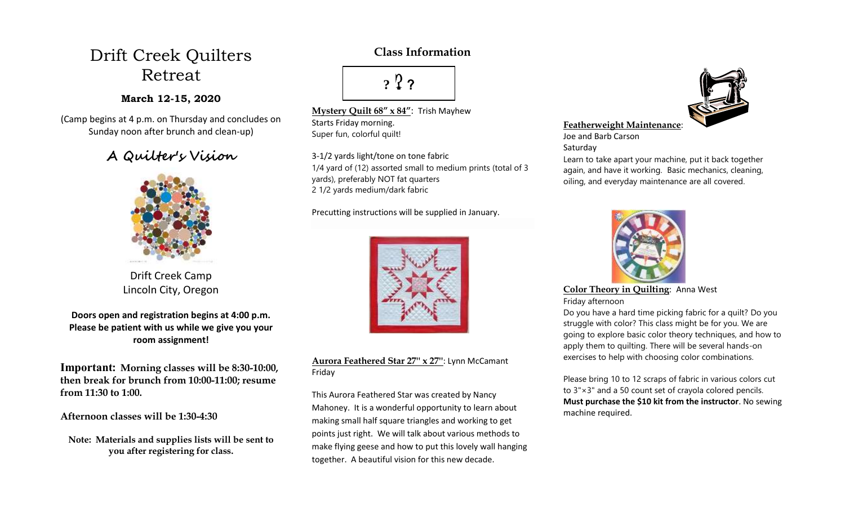# Drift Creek Quilters Retreat

### **March 12-15, 2020**

(Camp begins at 4 p.m. on Thursday and concludes on Sunday noon after brunch and clean-up)

## **A Quilter's Vision**



Drift Creek Camp Lincoln City, Oregon

**Doors open and registration begins at 4:00 p.m. Please be patient with us while we give you your room assignment!**

**Important: Morning classes will be 8:30-10:00, then break for brunch from 10:00-11:00; resume from 11:30 to 1:00.** 

#### **Afternoon classes will be 1:30-4:30**

**Note: Materials and supplies lists will be sent to you after registering for class.**

## **Class Information**

**?** ??

**Mystery Quilt 68" x 84"**: Trish Mayhew Starts Friday morning. Super fun, colorful quilt!

3-1/2 yards light/tone on tone fabric 1/4 yard of (12) assorted small to medium prints (total of 3 yards), preferably NOT fat quarters 2 1/2 yards medium/dark fabric

Precutting instructions will be supplied in January.



**Aurora Feathered Star 27'' x 27''**: Lynn McCamant Friday

This Aurora Feathered Star was created by Nancy Mahoney. It is a wonderful opportunity to learn about making small half square triangles and working to get points just right. We will talk about various methods to make flying geese and how to put this lovely wall hanging together. A beautiful vision for this new decade.



#### **Featherweight Maintenance**:

Joe and Barb Carson

Saturday

Learn to take apart your machine, put it back together again, and have it working. Basic mechanics, cleaning, oiling, and everyday maintenance are all covered.



**Color Theory in Quilting**: Anna West Friday afternoon

Do you have a hard time picking fabric for a quilt? Do you struggle with color? This class might be for you. We are going to explore basic color theory techniques, and how to apply them to quilting. There will be several hands-on exercises to help with choosing color combinations.

Please bring 10 to 12 scraps of fabric in various colors cut to 3"×3" and a 50 count set of crayola colored pencils. **Must purchase the \$10 kit from the instructor**. No sewing machine required.